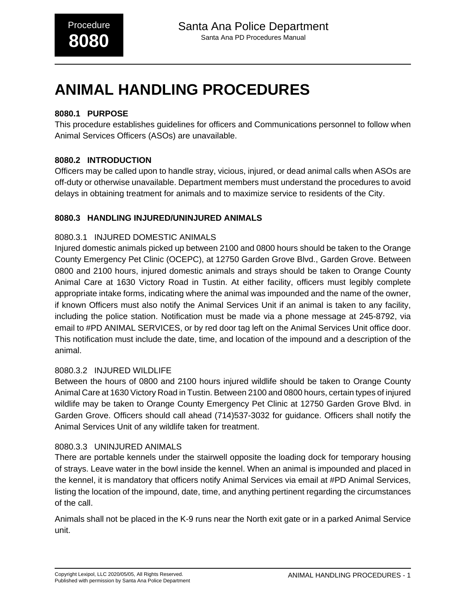# **ANIMAL HANDLING PROCEDURES**

# **8080.1 PURPOSE**

This procedure establishes guidelines for officers and Communications personnel to follow when Animal Services Officers (ASOs) are unavailable.

### **8080.2 INTRODUCTION**

Officers may be called upon to handle stray, vicious, injured, or dead animal calls when ASOs are off-duty or otherwise unavailable. Department members must understand the procedures to avoid delays in obtaining treatment for animals and to maximize service to residents of the City.

## **8080.3 HANDLING INJURED/UNINJURED ANIMALS**

### 8080.3.1 INJURED DOMESTIC ANIMALS

Injured domestic animals picked up between 2100 and 0800 hours should be taken to the Orange County Emergency Pet Clinic (OCEPC), at 12750 Garden Grove Blvd., Garden Grove. Between 0800 and 2100 hours, injured domestic animals and strays should be taken to Orange County Animal Care at 1630 Victory Road in Tustin. At either facility, officers must legibly complete appropriate intake forms, indicating where the animal was impounded and the name of the owner, if known Officers must also notify the Animal Services Unit if an animal is taken to any facility, including the police station. Notification must be made via a phone message at 245-8792, via email to #PD ANIMAL SERVICES, or by red door tag left on the Animal Services Unit office door. This notification must include the date, time, and location of the impound and a description of the animal.

### 8080.3.2 INJURED WILDLIFE

Between the hours of 0800 and 2100 hours injured wildlife should be taken to Orange County Animal Care at 1630 Victory Road in Tustin. Between 2100 and 0800 hours, certain types of injured wildlife may be taken to Orange County Emergency Pet Clinic at 12750 Garden Grove Blvd. in Garden Grove. Officers should call ahead (714)537-3032 for guidance. Officers shall notify the Animal Services Unit of any wildlife taken for treatment.

### 8080.3.3 UNINJURED ANIMALS

There are portable kennels under the stairwell opposite the loading dock for temporary housing of strays. Leave water in the bowl inside the kennel. When an animal is impounded and placed in the kennel, it is mandatory that officers notify Animal Services via email at #PD Animal Services, listing the location of the impound, date, time, and anything pertinent regarding the circumstances of the call.

Animals shall not be placed in the K-9 runs near the North exit gate or in a parked Animal Service unit.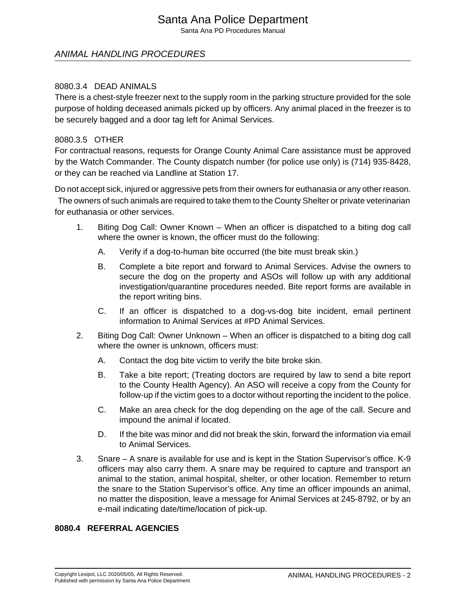# Santa Ana Police Department

Santa Ana PD Procedures Manual

## ANIMAL HANDLING PROCEDURES

### 8080.3.4 DEAD ANIMALS

There is a chest-style freezer next to the supply room in the parking structure provided for the sole purpose of holding deceased animals picked up by officers. Any animal placed in the freezer is to be securely bagged and a door tag left for Animal Services.

### 8080.3.5 OTHER

For contractual reasons, requests for Orange County Animal Care assistance must be approved by the Watch Commander. The County dispatch number (for police use only) is (714) 935-8428, or they can be reached via Landline at Station 17.

Do not accept sick, injured or aggressive pets from their owners for euthanasia or any other reason. The owners of such animals are required to take them to the County Shelter or private veterinarian for euthanasia or other services.

- 1. Biting Dog Call: Owner Known When an officer is dispatched to a biting dog call where the owner is known, the officer must do the following:
	- A. Verify if a dog-to-human bite occurred (the bite must break skin.)
	- B. Complete a bite report and forward to Animal Services. Advise the owners to secure the dog on the property and ASOs will follow up with any additional investigation/quarantine procedures needed. Bite report forms are available in the report writing bins.
	- C. If an officer is dispatched to a dog-vs-dog bite incident, email pertinent information to Animal Services at #PD Animal Services.
- 2. Biting Dog Call: Owner Unknown When an officer is dispatched to a biting dog call where the owner is unknown, officers must:
	- A. Contact the dog bite victim to verify the bite broke skin.
	- B. Take a bite report; (Treating doctors are required by law to send a bite report to the County Health Agency). An ASO will receive a copy from the County for follow-up if the victim goes to a doctor without reporting the incident to the police.
	- C. Make an area check for the dog depending on the age of the call. Secure and impound the animal if located.
	- D. If the bite was minor and did not break the skin, forward the information via email to Animal Services.
- 3. Snare A snare is available for use and is kept in the Station Supervisor's office. K-9 officers may also carry them. A snare may be required to capture and transport an animal to the station, animal hospital, shelter, or other location. Remember to return the snare to the Station Supervisor's office. Any time an officer impounds an animal, no matter the disposition, leave a message for Animal Services at 245-8792, or by an e-mail indicating date/time/location of pick-up.

### **8080.4 REFERRAL AGENCIES**